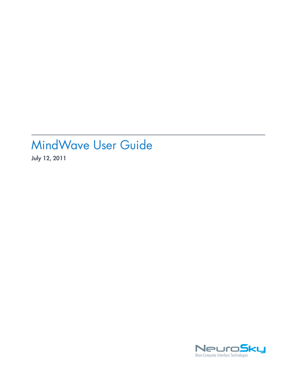# MindWave User Guide

**July 12, 2011**

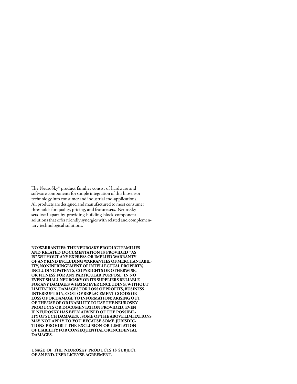The NeuroSky® product families consist of hardware and software components for simple integration of this biosensor technology into consumer and industrial end-applications. All products are designed and manufactured to meet consumer thresholds for quality, pricing, and feature sets. NeuroSky sets itself apart by providing building block component solutions that offer friendly synergies with related and complementary technological solutions.

**NOWARRANTIES: THE NEUROSKY PRODUCT FAMILIES AND RELATED DOCUMENTATION IS PROVIDED "AS IS" WITHOUT ANY EXPRESS OR IMPLIED WARRANTY OF ANY KIND INCLUDINGWARRANTIES OF MERCHANTABIL-ITY, NONINFRINGEMENT OF INTELLECTUAL PROPERTY, INCLUDING PATENTS, COPYRIGHTS OR OTHERWISE, OR FITNESS FOR ANY PARTICULAR PURPOSE. IN NO EVENT SHALL NEUROSKY OR ITS SUPPLIERS BE LIABLE FOR ANY DAMAGESWHATSOEVER (INCLUDING,WITHOUT LIMITATION, DAMAGES FOR LOSS OF PROFITS, BUSINESS INTERRUPTION, COST OF REPLACEMENT GOODS OR LOSS OF OR DAMAGE TO INFORMATION) ARISING OUT OF THE USE OF OR INABILITY TO USE THE NEUROSKY PRODUCTS OR DOCUMENTATION PROVIDED, EVEN IF NEUROSKY HAS BEEN ADVISED OF THE POSSIBIL-ITY OF SUCH DAMAGES. , SOME OF THE ABOVE LIMITATIONS MAY NOT APPLY TO YOU BECAUSE SOME JURISDIC-TIONS PROHIBIT THE EXCLUSION OR LIMITATION OF LIABILITY FOR CONSEQUENTIAL OR INCIDENTAL DAMAGES.**

**USAGE OF THE NEUROSKY PRODUCTS IS SUBJECT OF AN END-USER LICENSE AGREEMENT.**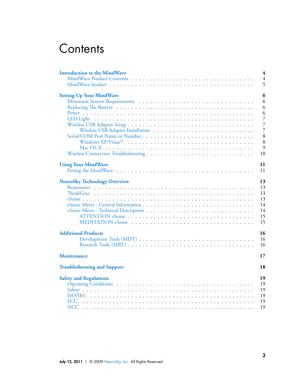# **Contents**

| <b>Introduction to the MindWave</b> | 4              |
|-------------------------------------|----------------|
|                                     | $\overline{4}$ |
|                                     | 5              |
| <b>Setting Up Your MindWave</b>     | 6              |
|                                     | 6              |
|                                     | 6              |
|                                     | 6              |
|                                     | 7              |
|                                     | 7              |
|                                     | 7              |
|                                     | 8              |
|                                     | 8              |
|                                     | 9              |
|                                     | 10             |
| <b>Using Your MindWave</b>          | 11             |
|                                     | 11             |
| <b>NeuroSky Technology Overview</b> | 13             |
|                                     | 13             |
|                                     | 13             |
|                                     | 13             |
|                                     | 14             |
|                                     | 14             |
|                                     | 15             |
|                                     | 15             |
| <b>Additional Products</b>          | 16             |
|                                     | 16             |
|                                     | 16             |
| <b>Maintenance</b>                  | 17             |
| <b>Troubleshooting and Support</b>  | 18             |
| <b>Safety and Regulations</b>       | 19             |
|                                     | 19             |
|                                     | 19             |
|                                     | 19             |
|                                     | 19             |
| NCC.                                | 19             |
|                                     |                |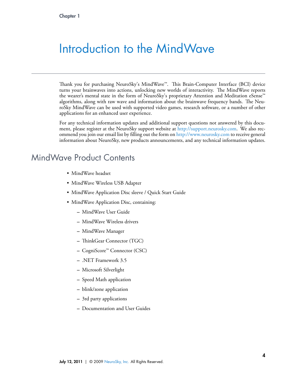# <span id="page-3-0"></span>Introduction to the MindWave

Thank you for purchasing NeuroSky's MindWave™. This Brain-Computer Interface (BCI) device turns your brainwaves into actions, unlocking new worlds of interactivity. The MindWave reports the wearer's mental state in the form of NeuroSky's proprietary Attention and Meditation eSense™ algorithms, along with raw wave and information about the brainwave frequency bands. The NeuroSky MindWave can be used with supported video games, research software, or a number of other applications for an enhanced user experience.

For any technical information updates and additional support questions not answered by this document, please register at the NeuroSky support website at [http://support.neurosky.com.](http://support.neurosky.com) We also recommend you join our email list by filling out the form on <http://www.neurosky.com> to receive general information about NeuroSky, new products announcements, and any technical information updates.

## MindWave Product Contents

- <span id="page-3-1"></span>• MindWave headset
- MindWave Wireless USB Adapter
- MindWave Application Disc sleeve / Quick Start Guide
- MindWave Application Disc, containing:
	- **–** MindWave User Guide
	- **–** MindWave Wireless drivers
	- **–** MindWave Manager
	- **–** ThinkGear Connector (TGC)
	- **–** CogniScore™ Connector (CSC)
	- **–** .NET Framework 3.5
	- **–** Microsoft Silverlight
	- **–** Speed Math application
	- **–** blink/zone application
	- **–** 3rd party applications
	- **–** Documentation and User Guides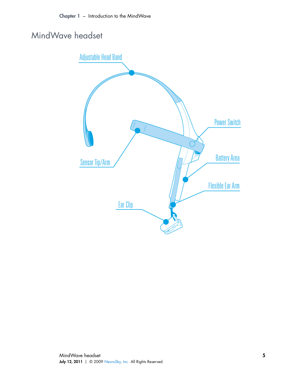## MindWave headset

<span id="page-4-0"></span>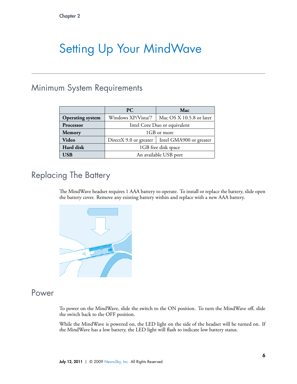# <span id="page-5-0"></span>Setting Up Your MindWave

## <span id="page-5-1"></span>Minimum System Requirements

|                         | <b>PC</b>                    | Mac                                                    |  |
|-------------------------|------------------------------|--------------------------------------------------------|--|
| <b>Operating system</b> | Windows XP/Vista/7           | Mac OS X 10.5.8 or later                               |  |
| Processor               | Intel Core Duo or equivalent |                                                        |  |
| <b>Memory</b>           | 1GB or more                  |                                                        |  |
| Video                   |                              | DirectX 9.0 or greater $\vert$ Intel GMA900 or greater |  |
| Hard disk               | 1GB free disk space          |                                                        |  |
| USB                     | An available USB port        |                                                        |  |

# Replacing The Battery

<span id="page-5-2"></span>The MindWave headset requires 1 AAA battery to operate. To install or replace the battery, slide open the battery cover. Remove any existing battery within and replace with a new AAA battery.



### Power

<span id="page-5-3"></span>To power on the MindWave, slide the switch to the ON position. To turn the MindWave off, slide the switch back to the OFF position.

While the MindWave is powered on, the LED light on the side of the headset will be turned on. If the MindWave has a low battery, the LED light will flash to indicate low battery status.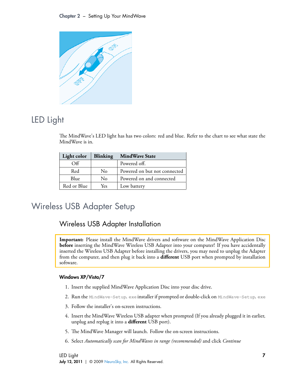

# LED Light

<span id="page-6-0"></span>The MindWave's LED light has has two colors: red and blue. Refer to the chart to see what state the MindWave is in.

| Light color | <b>Blinking</b> | <b>MindWave State</b>        |
|-------------|-----------------|------------------------------|
| Off         |                 | Powered off.                 |
| Red         | No              | Powered on but not connected |
| Blue        | No              | Powered on and connected     |
| Red or Blue | Yes             | Low battery                  |

# Wireless USB Adapter Setup

### <span id="page-6-2"></span><span id="page-6-1"></span>Wireless USB Adapter Installation

**Important:** Please install the MindWave drivers and software on the MindWave Application Disc **before** inserting the MindWave Wireless USB Adapter into your computer! If you have accidentally inserted the Wireless USB Adapter before installing the drivers, you may need to unplug the Adapter from the computer, and then plug it back into a **different** USB port when prompted by installation software.

#### **Windows XP/Vista/7**

- 1. Insert the supplied MindWave Application Disc into your disc drive.
- 2. Run the MindWave-Setup. exe installer if prompted or double-click on MindWave-Setup. exe
- 3. Follow the installer's on-screen instructions.
- 4. Insert the MindWave Wireless USB adapter when prompted (If you already plugged it in earlier, unplug and replug it into a **different** USB port).
- 5. The MindWave Manager will launch. Follow the on-screen instructions.
- 6. Select *Automatically scan for MindWaves in range (recommended)* and click *Continue*

LED Light July 12, 2011 | © 2009 [NeuroSky, Inc.](http://www.neurosky.com) All Rights Reserved.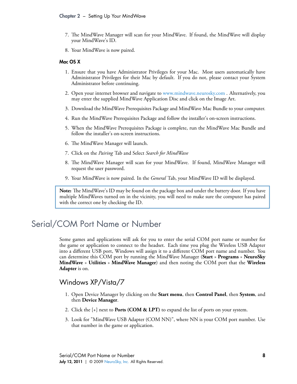- 7. The MindWave Manager will scan for your MindWave. If found, the MindWave will display your MindWave's ID.
- 8. Your MindWave is now paired.

#### **Mac OS X**

- 1. Ensure that you have Administrator Privileges for your Mac. Most users automatically have Administrator Privileges for their Mac by default. If you do not, please contact your System Administrator before continuing.
- 2. Open your internet browser and navigate to [www.mindwave.neurosky.com](http://www.mindwave.neurosky.com) . Alternatively, you may enter the supplied MindWave Application Disc and click on the Image Art.
- 3. Download the MindWave Prerequisites Package and MindWave Mac Bundle to your computer.
- 4. Run the MindWave Prerequisites Package and follow the installer's on-screen instructions.
- 5. When the MindWave Prerequisites Package is complete, run the MindWave Mac Bundle and follow the installer's on-screen instructions.
- 6. The MindWave Manager will launch.
- 7. Click on the *Pairing* Tab and Select *Search for MindWave*
- 8. The MindWave Manager will scan for your MindWave. If found, MindWave Manager will request the user password.
- 9. Your MindWave is now paired. In the *General* Tab, your MindWave ID will be displayed.

**Note:** The MindWave's ID may be found on the package box and under the battery door. If you have multiple MindWaves turned on in the vicinity, you will need to make sure the computer has paired with the correct one by checking the ID.

## Serial/COM Port Name or Number

<span id="page-7-0"></span>Some games and applications will ask for you to enter the serial COM port name or number for the game or application to connect to the headset. Each time you plug the Wireless USB Adapter into a different USB port, Windows will assign it to a different COM port name and number. You can determine this COM port by running the MindWave Manager (**Start** » **Programs** » **NeuroSky MindWave** » **Utilities** » **MindWave Manager**) and then noting the COM port that the **Wireless Adapter** is on.

#### <span id="page-7-1"></span>Windows XP/Vista/7

- 1. Open Device Manager by clicking on the **Start menu**, then **Control Panel**, then **System**, and then **Device Manager**.
- 2. Click the [+] next to **Ports (COM & LPT)** to expand the list of ports on your system.
- 3. Look for "MindWave USB Adapter (COM NN)", where NN is your COM port number. Use that number in the game or application.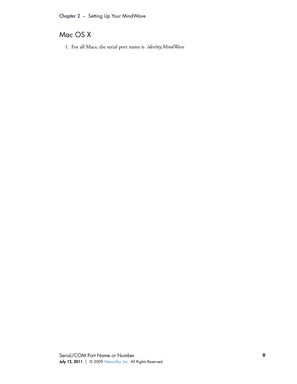### <span id="page-8-0"></span>Mac OS X

1. For all Macs, the serial port name is */dev/tty.MindWave*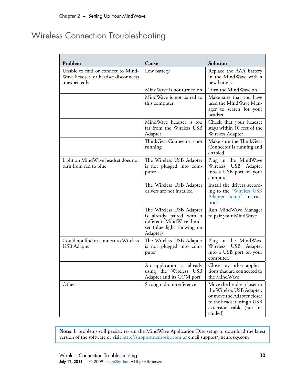# Wireless Connection Troubleshooting

<span id="page-9-0"></span>

| Problem                                                                                    | Cause                                                                                                                      | Solution                                                                                                                                                   |
|--------------------------------------------------------------------------------------------|----------------------------------------------------------------------------------------------------------------------------|------------------------------------------------------------------------------------------------------------------------------------------------------------|
| Unable to find or connect to Mind-<br>Wave headset, or headset disconnects<br>unexpectedly | Low battery                                                                                                                | Replace the AAA battery<br>in the MindWave with a<br>new battery                                                                                           |
|                                                                                            | MindWave is not turned on                                                                                                  | Turn the MindWave on                                                                                                                                       |
|                                                                                            | MindWave is not paired to<br>this computer                                                                                 | Make sure that you have<br>used the MindWave Man-<br>ager to search for your<br>headset                                                                    |
|                                                                                            | MindWave headset is too<br>far from the Wireless USB<br>Adapter                                                            | Check that your headset<br>stays within 10 feet of the<br>Wireless Adapter                                                                                 |
|                                                                                            | ThinkGear Connector is not<br>running                                                                                      | Make sure the ThinkGear<br>Connector is running and<br>enabled.                                                                                            |
| Light on MindWave headset does not<br>turn from red to blue                                | The Wireless USB Adapter<br>is not plugged into com-<br>puter                                                              | Plug in the MindWave<br>USB Adapter<br>Wireless<br>into a USB port on your<br>computer.                                                                    |
|                                                                                            | The Wireless USB Adapter<br>drivers are not installed                                                                      | Install the drivers accord-<br>ing to the "Wireless USB<br>Adapter Setup" instruc-<br>tions                                                                |
|                                                                                            | The Wireless USB Adapter<br>is already paired with a<br>different MindWave head-<br>set (blue light showing on<br>Adapter) | Run MindWave Manager<br>to pair your MindWave                                                                                                              |
| Could not find or connect to Wireless<br>USB Adapter                                       | The Wireless USB Adapter<br>is not plugged into com-<br>puter                                                              | Plug in the MindWave<br>Wireless USB Adapter<br>into a USB port on your<br>computer.                                                                       |
|                                                                                            | An application is already<br>using the Wireless USB<br>Adapter and its COM port                                            | Close any other applica-<br>tions that are connected to<br>the MindWave                                                                                    |
| Other                                                                                      | Strong radio interference                                                                                                  | Move the headset closer to<br>the Wireless USB Adapter,<br>or move the Adapter closer<br>to the headset using a USB<br>extension cable (not in-<br>cluded) |

**Note:** If problems still persist, re-run the MindWave Application Disc setup to download the latest version of the software or visit <http://support.neurosky.com> or email support@neurosky.com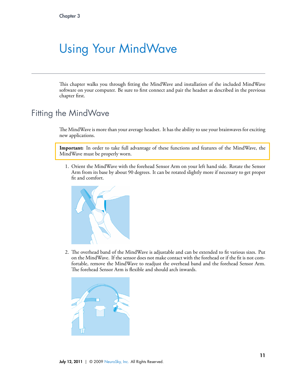# <span id="page-10-0"></span>Using Your MindWave

<span id="page-10-1"></span>This chapter walks you through fitting the MindWave and installation of the included MindWave software on your computer. Be sure to first connect and pair the headset as described in the previous chapter first.

## Fitting the MindWave

The MindWave is more than your average headset. It has the ability to use your brainwaves for exciting new applications.

**Important:** In order to take full advantage of these functions and features of the MindWave, the MindWave must be properly worn.

1. Orient the MindWave with the forehead Sensor Arm on your left hand side. Rotate the Sensor Arm from its base by about 90 degrees. It can be rotated slightly more if necessary to get proper fit and comfort.



2. The overhead band of the MindWave is adjustable and can be extended to fit various sizes. Put on the MindWave. If the sensor does not make contact with the forehead or if the fit is not comfortable, remove the MindWave to readjust the overhead band and the forehead Sensor Arm. The forehead Sensor Arm is flexible and should arch inwards.

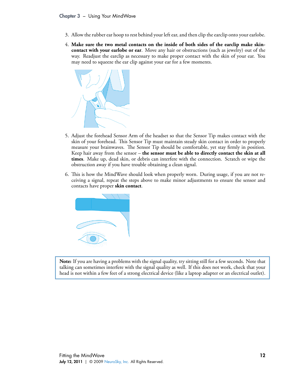- 3. Allow the rubber ear hoop to rest behind your left ear, and then clip the earclip onto your earlobe.
- 4. **Make sure the two metal contacts on the inside of both sides of the earclip make skincontact with your earlobe or ear**. Move any hair or obstructions (such as jewelry) out of the way. Readjust the earclip as necessary to make proper contact with the skin of your ear. You may need to squeeze the ear clip against your ear for a few moments.



- 5. Adjust the forehead Sensor Arm of the headset so that the Sensor Tip makes contact with the skin of your forehead. This Sensor Tip must maintain steady skin contact in order to properly measure your brainwaves. The Sensor Tip should be comfortable, yet stay firmly in position. Keep hair away from the sensor – **the sensor must be able to directly contact the skin at all times**. Make up, dead skin, or debris can interfere with the connection. Scratch or wipe the obstruction away if you have trouble obtaining a clean signal.
- 6. This is how the MindWave should look when properly worn. During usage, if you are not receiving a signal, repeat the steps above to make minor adjustments to ensure the sensor and contacts have proper **skin contact**.



**Note:** If you are having a problems with the signal quality, try sitting still for a few seconds. Note that talking can sometimes interfere with the signal quality as well. If this does not work, check that your head is not within a few feet of a strong electrical device (like a laptop adapter or an electrical outlet).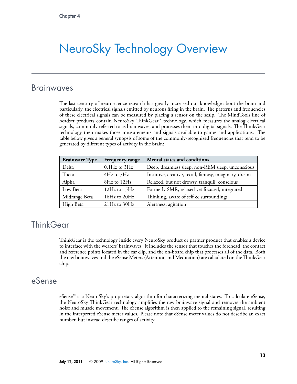# <span id="page-12-0"></span>NeuroSky Technology Overview

### Brainwaves

<span id="page-12-1"></span>The last century of neuroscience research has greatly increased our knowledge about the brain and particularly, the electrical signals emitted by neurons firing in the brain. The patterns and frequencies of these electrical signals can be measured by placing a sensor on the scalp. The MindTools line of headset products contain NeuroSky ThinkGear™ technology, which measures the analog electrical signals, commonly referred to as brainwaves, and processes them into digital signals. The ThinkGear technology then makes those measurements and signals available to games and applications. The table below gives a general synopsis of some of the commonly-recognized frequencies that tend to be generated by different types of activity in the brain:

| <b>Brainwave Type</b> | Frequency range    | Mental states and conditions                           |
|-----------------------|--------------------|--------------------------------------------------------|
| Delta                 | $0.1$ Hz to $3$ Hz | Deep, dreamless sleep, non-REM sleep, unconscious      |
| Theta                 | 4Hz to 7Hz         | Intuitive, creative, recall, fantasy, imaginary, dream |
| Alpha                 | 8Hz to 12Hz        | Relaxed, but not drowsy, tranquil, conscious           |
| Low Beta              | 12Hz to 15Hz       | Formerly SMR, relaxed yet focused, integrated          |
| Midrange Beta         | 16Hz to 20Hz       | Thinking, aware of self & surroundings                 |
| High Beta             | $21Hz$ to $30Hz$   | Alertness, agitation                                   |

## **ThinkGear**

<span id="page-12-2"></span>ThinkGear is the technology inside every NeuroSky product or partner product that enables a device to interface with the wearers' brainwaves. It includes the sensor that touches the forehead, the contact and reference points located in the ear clip, and the on-board chip that processes all of the data. Both the raw brainwaves and the eSense Meters (Attention and Meditation) are calculated on the ThinkGear chip.

## eSense

<span id="page-12-3"></span>eSense™ is a NeuroSky's proprietary algorithm for characterizing mental states. To calculate eSense, the NeuroSky ThinkGear technology amplifies the raw brainwave signal and removes the ambient noise and muscle movement. The eSense algorithm is then applied to the remaining signal, resulting in the interpreted eSense meter values. Please note that eSense meter values do not describe an exact number, but instead describe ranges of activity.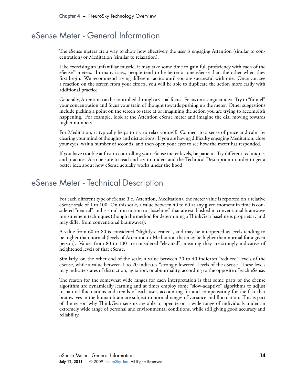### eSense Meter - General Information

<span id="page-13-0"></span>The eSense meters are a way to show how effectively the user is engaging Attention (similar to concentration) or Meditation (similar to relaxation).

Like exercising an unfamiliar muscle, it may take some time to gain full proficiency with each of the eSense<sup>™</sup> meters. In many cases, people tend to be better at one eSense than the other when they first begin. We recommend trying different tactics until you are successful with one. Once you see a reaction on the screen from your efforts, you will be able to duplicate the action more easily with additional practice.

Generally, Attention can be controlled through a visual focus. Focus on a singular idea. Try to "funnel" your concentration and focus your train of thought towards pushing up the meter. Other suggestions include picking a point on the screen to stare at or imagining the action you are trying to accomplish happening. For example, look at the Attention eSense meter and imagine the dial moving towards higher numbers.

For Meditation, it typically helps to try to relax yourself. Connect to a sense of peace and calm by clearing your mind of thoughts and distractions. If you are having difficulty engaging Meditation, close your eyes, wait a number of seconds, and then open your eyes to see how the meter has responded.

<span id="page-13-1"></span>If you have trouble at ërst in controlling your eSense meter levels, be patient. Try different techniques and practice. Also be sure to read and try to understand the Technical Description in order to get a better idea about how eSense actually works under the hood.

### eSense Meter - Technical Description

For each different type of eSense (i.e. Attention, Meditation), the meter value is reported on a relative eSense scale of 1 to 100. On this scale, a value between 40 to 60 at any given moment in time is considered "neutral" and is similar in notion to "baselines" that are established in conventional brainwave measurement techniques (though the method for determining a ThinkGear baseline is proprietary and may differ from conventional brainwaves).

A value from 60 to 80 is considered "slightly elevated", and may be interpreted as levels tending to be higher than normal (levels of Attention or Meditation that may be higher than normal for a given person). Values from 80 to 100 are considered "elevated", meaning they are strongly indicative of heightened levels of that eSense.

Similarly, on the other end of the scale, a value between 20 to 40 indicates "reduced" levels of the eSense, while a value between 1 to 20 indicates "strongly lowered" levels of the eSense. These levels may indicate states of distraction, agitation, or abnormality, according to the opposite of each eSense.

The reason for the somewhat wide ranges for each interpretation is that some parts of the eSense algorithm are dynamically learning and at times employ some "slow-adaptive" algorithms to adjust to natural fluctuations and trends of each user, accounting for and compensating for the fact that brainwaves in the human brain are subject to normal ranges of variance and fluctuation. This is part of the reason why inkGear sensors are able to operate on a wide range of individuals under an extremely wide range of personal and environmental conditions, while still giving good accuracy and reliability.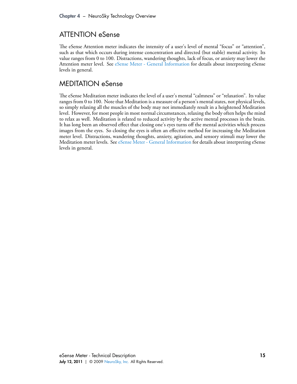### <span id="page-14-0"></span>ATTENTION eSense

The eSense Attention meter indicates the intensity of a user's level of mental "focus" or "attention", such as that which occurs during intense concentration and directed (but stable) mental activity. Its value ranges from 0 to 100. Distractions, wandering thoughts, lack of focus, or anxiety may lower the Attention meter level. See [eSense Meter - General Information](#page-13-0) for details about interpreting eSense levels in general.

#### <span id="page-14-1"></span>MEDITATION eSense

e eSense Meditation meter indicates the level of a user's mental "calmness" or "relaxation". Its value ranges from 0 to 100. Note that Meditation is a measure of a person's mental states, not physical levels, so simply relaxing all the muscles of the body may not immediately result in a heightened Meditation level. However, for most people in most normal circumstances, relaxing the body often helps the mind to relax as well. Meditation is related to reduced activity by the active mental processes in the brain. It has long been an observed effect that closing one's eyes turns off the mental activities which process images from the eyes. So closing the eyes is often an effective method for increasing the Meditation meter level. Distractions, wandering thoughts, anxiety, agitation, and sensory stimuli may lower the Meditation meter levels. See [eSense Meter - General Information](#page-13-0) for details about interpreting eSense levels in general.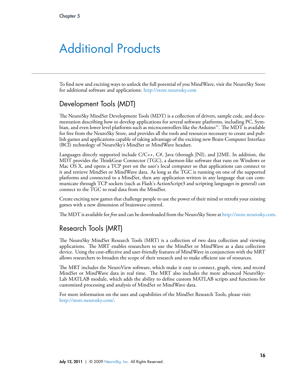# <span id="page-15-0"></span>Additional Products

To find new and exciting ways to unlock the full potential of you MindWave, visit the NeuroSky Store for additional software and applications: <http://store.neurosky.com>

#### <span id="page-15-1"></span>Development Tools (MDT)

e NeuroSky MindSet Development Tools (MDT) is a collection of drivers, sample code, and documentation describing how to develop applications for several software platforms, including PC, Symbian, and even lower level platforms such as microcontrollers like the Arduino™. The MDT is available for free from the NeuroSky Store, and provides all the tools and resources necessary to create and publish games and applications capable of taking advantage of the exciting new Brain-Computer Interface (BCI) technology of NeuroSky's MindSet or MindWave headset.

Languages directly supported include  $C/C_{++}$ ,  $C_{++}$ , Java (through JNI), and J2ME. In addition, the MDT provides the ThinkGear Connector (TGC), a daemon-like software that runs on Windows or Mac OS X, and opens a TCP port on the user's local computer so that applications can connect to it and retrieve MindSet or MindWave data. As long as the TGC is running on one of the supported platforms and connected to a MindSet, then any application written in any language that can communicate through TCP sockets (such as Flash's ActionScript3 and scripting languages in general) can connect to the TGC to read data from the MindSet.

Create exciting new games that challenge people to use the power of their mind or retrofit your existing games with a new dimension of brainwave control.

e MDT is available for *free* and can be downloaded from the NeuroSky Store at <http://store.neurosky.com>.

#### <span id="page-15-2"></span>Research Tools (MRT)

e NeuroSky MindSet Research Tools (MRT) is a collection of two data collection and viewing applications. The MRT enables researchers to use the MindSet or MindWave as a data collection device. Using the cost-effective and user-friendly features of MindWave in conjunction with the MRT allows researchers to broaden the scope of their research and to make efficient use of resources.

e MRT includes the NeuroView software, which make it easy to connect, graph, view, and record MindSet or MindWave data in real time. The MRT also includes the more advanced NeuroSky-Lab MATLAB module, which adds the ability to deëne custom MATLAB scripts and functions for customized processing and analysis of MindSet or MindWave data.

For more information on the uses and capabilities of the MindSet Research Tools, please visit: <http://store.neurosky.com/>.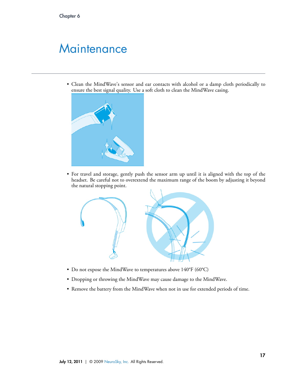# <span id="page-16-0"></span>**Maintenance**

• Clean the MindWave's sensor and ear contacts with alcohol or a damp cloth periodically to ensure the best signal quality. Use a soft cloth to clean the MindWave casing.



• For travel and storage, gently push the sensor arm up until it is aligned with the top of the headset. Be careful not to overextend the maximum range of the boom by adjusting it beyond the natural stopping point.



- Do not expose the MindWave to temperatures above 140°F (60°C)
- Dropping or throwing the MindWave may cause damage to the MindWave.
- Remove the battery from the MindWave when not in use for extended periods of time.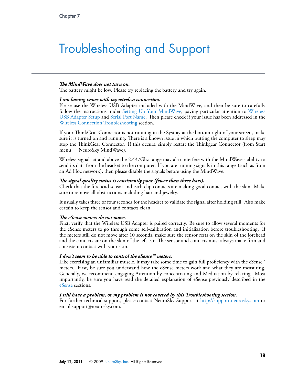# <span id="page-17-0"></span>Troubleshooting and Support

#### *e MindWave does not turn on.*

The battery might be low. Please try replacing the battery and try again.

#### *I am having issues with my wireless connection.*

Please use the Wireless USB Adapter included with the MindWave, and then be sure to carefully follow the instructions under [Setting Up Your MindWave,](#page-5-0) paying particular attention to [Wireless](#page-6-1) [USB Adapter Setup](#page-6-1) and Serial Port Name. Then please check if your issue has been addressed in the [Wireless Connection Troubleshooting](#page-9-0) section.

If your ThinkGear Connector is not running in the Systray at the bottom right of your screen, make sure it is turned on and running. There is a known issue in which putting the computer to sleep may stop the ThinkGear Connector. If this occurs, simply restart the Thinkgear Connector (from Start menu NeuroSky MindWave).

Wireless signals at and above the 2.437Ghz range may also interfere with the MindWave's ability to send its data from the headset to the computer. If you are running signals in this range (such as from an Ad Hoc network), then please disable the signals before using the MindWave.

#### *e signal quality status is consistently poor (fewer than three bars).*

Check that the forehead sensor and each clip contacts are making good contact with the skin. Make sure to remove all obstructions including hair and jewelry.

It usually takes three or four seconds for the headset to validate the signal after holding still. Also make certain to keep the sensor and contacts clean.

#### *e eSense meters do not move.*

First, verify that the Wireless USB Adapter is paired correctly. Be sure to allow several moments for the eSense meters to go through some self-calibration and initialization before troubleshooting. If the meters still do not move after 10 seconds, make sure the sensor rests on the skin of the forehead and the contacts are on the skin of the left ear. The sensor and contacts must always make firm and consistent contact with your skin.

#### *I don't seem to be able to control the eSense™ meters.*

Like exercising an unfamiliar muscle, it may take some time to gain full proficiency with the eSense<sup> $m$ </sup> meters. First, be sure you understand how the eSense meters work and what they are measuring. Generally, we recommend engaging Attention by concentrating and Meditation by relaxing. Most importantly, be sure you have read the detailed explanation of eSense previously described in the [eSense](#page-12-3) sections.

#### *I still have a problem, or my problem is not covered by this Troubleshooting section.*

For further technical support, please contact NeuroSky Support at <http://support.neurosky.com> or email support@neurosky.com.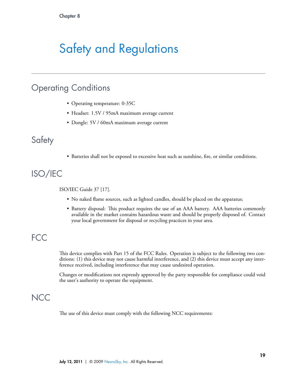# <span id="page-18-0"></span>Safety and Regulations

## Operating Conditions

- <span id="page-18-1"></span>• Operating temperature: 0-35C
- Headset: 1.5V / 95mA maximum average current
- <span id="page-18-2"></span>• Dongle: 5V / 60mA maximum average current

### **Safety**

<span id="page-18-3"></span>• Batteries shall not be exposed to excessive heat such as sunshine, fire, or similar conditions.

# ISO/IEC

ISO/IEC Guide 37 [17].

- No naked flame sources, such as lighted candles, should be placed on the apparatus;
- <span id="page-18-4"></span>• Battery disposal: This product requires the use of an AAA battery. AAA batteries commonly available in the market contains hazardous waste and should be properly disposed of. Contact your local government for disposal or recycling practices in your area.

## FCC

This device complies with Part 15 of the FCC Rules. Operation is subject to the following two conditions: (1) this device may not cause harmful interference, and (2) this device must accept any interference received, including interference that may cause undesired operation.

<span id="page-18-5"></span>Changes or modifications not expressly approved by the party responsible for compliance could void the user's authority to operate the equipment.

## **NCC**

The use of this device must comply with the following NCC requirements: